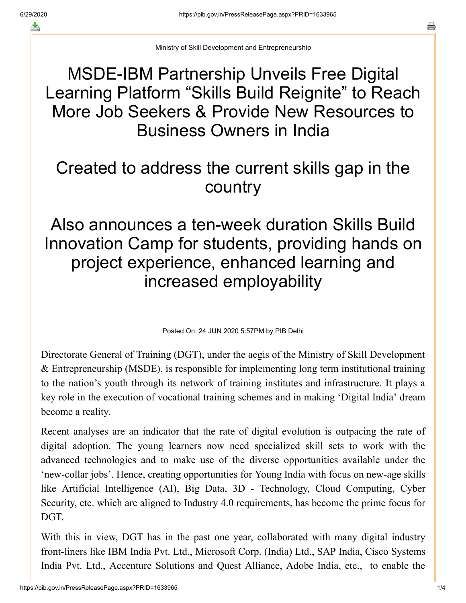a

Ministry of Skill Development and Entrepreneurship

## MSDE-IBM Partnership Unveils Free Digital Learning Platform "Skills Build Reignite" to Reach More Job Seekers & Provide New Resources to Business Owners in India

## Created to address the current skills gap in the country

## Also announces a ten-week duration Skills Build Innovation Camp for students, providing hands on project experience, enhanced learning and increased employability

Posted On: 24 JUN 2020 5:57PM by PIB Delhi

Directorate General of Training (DGT), under the aegis of the Ministry of Skill Development & Entrepreneurship (MSDE), is responsible for implementing long term institutional training to the nation's youth through its network of training institutes and infrastructure. It plays a key role in the execution of vocational training schemes and in making 'Digital India' dream become a reality.

Recent analyses are an indicator that the rate of digital evolution is outpacing the rate of digital adoption. The young learners now need specialized skill sets to work with the advanced technologies and to make use of the diverse opportunities available under the 'new-collar jobs'. Hence, creating opportunities for Young India with focus on new-age skills like Artificial Intelligence (AI), Big Data, 3D - Technology, Cloud Computing, Cyber Security, etc. which are aligned to Industry 4.0 requirements, has become the prime focus for DGT.

With this in view, DGT has in the past one year, collaborated with many digital industry front-liners like IBM India Pvt. Ltd., Microsoft Corp. (India) Ltd., SAP India, Cisco Systems India Pvt. Ltd., Accenture Solutions and Quest Alliance, Adobe India, etc., to enable the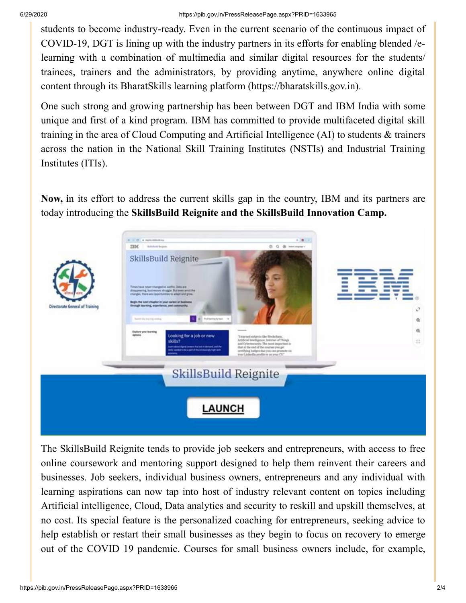students to become industry-ready. Even in the current scenario of the continuous impact of COVID-19, DGT is lining up with the industry partners in its efforts for enabling blended /elearning with a combination of multimedia and similar digital resources for the students/ trainees, trainers and the administrators, by providing anytime, anywhere online digital content through its BharatSkills learning platform (https://bharatskills.gov.in).

One such strong and growing partnership has been between DGT and IBM India with some unique and first of a kind program. IBM has committed to provide multifaceted digital skill training in the area of Cloud Computing and Artificial Intelligence (AI) to students & trainers across the nation in the National Skill Training Institutes (NSTIs) and Industrial Training Institutes (ITIs).

Now, in its effort to address the current skills gap in the country, IBM and its partners are today introducing the **SkillsBuild Reignite and the SkillsBuild Innovation Camp.** 



The SkillsBuild Reignite tends to provide job seekers and entrepreneurs, with access to free online coursework and mentoring support designed to help them reinvent their careers and businesses. Job seekers, individual business owners, entrepreneurs and any individual with learning aspirations can now tap into host of industry relevant content on topics including Artificial intelligence, Cloud, Data analytics and security to reskill and upskill themselves, at no cost. Its special feature is the personalized coaching for entrepreneurs, seeking advice to help establish or restart their small businesses as they begin to focus on recovery to emerge out of the COVID 19 pandemic. Courses for small business owners include, for example,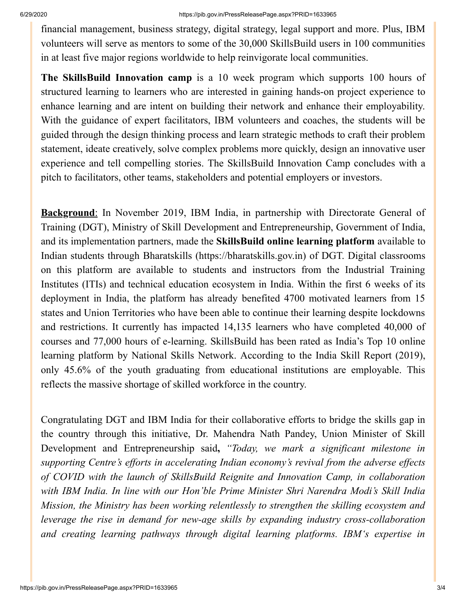financial management, business strategy, digital strategy, legal support and more. Plus, IBM volunteers will serve as mentors to some of the 30,000 SkillsBuild users in 100 communities in at least five major regions worldwide to help reinvigorate local communities.

**The SkillsBuild Innovation camp** is a 10 week program which supports 100 hours of structured learning to learners who are interested in gaining hands-on project experience to enhance learning and are intent on building their network and enhance their employability. With the guidance of expert facilitators, IBM volunteers and coaches, the students will be guided through the design thinking process and learn strategic methods to craft their problem statement, ideate creatively, solve complex problems more quickly, design an innovative user experience and tell compelling stories. The SkillsBuild Innovation Camp concludes with a pitch to facilitators, other teams, stakeholders and potential employers or investors.

**Background:** In November 2019, IBM India, in partnership with Directorate General of Training (DGT), Ministry of Skill Development and Entrepreneurship, Government of India, and its implementation partners, made the **SkillsBuild online learning platform** available to Indian students through Bharatskills ([https://bharatskills.gov.in\)](https://bharatskills.gov.in/) of DGT. Digital classrooms on this platform are available to students and instructors from the Industrial Training Institutes (ITIs) and technical education ecosystem in India. Within the first 6 weeks of its deployment in India, the platform has already benefited 4700 motivated learners from 15 states and Union Territories who have been able to continue their learning despite lockdowns and restrictions. It currently has impacted 14,135 learners who have completed 40,000 of courses and 77,000 hours of e-learning. SkillsBuild has been rated as India's Top 10 online learning platform by National Skills Network. According to the India Skill Report (2019), only 45.6% of the youth graduating from educational institutions are employable. This reflects the massive shortage of skilled workforce in the country.

Congratulating DGT and IBM India for their collaborative efforts to bridge the skills gap in the country through this initiative, Dr. Mahendra Nath Pandey, Union Minister of Skill Development and Entrepreneurship said**,** *"Today, we mark a significant milestone in supporting Centre's efforts in accelerating Indian economy's revival from the adverse effects of COVID with the launch of SkillsBuild Reignite and Innovation Camp, in collaboration with IBM India. In line with our Hon'ble Prime Minister Shri Narendra Modi's Skill India Mission, the Ministry has been working relentlessly to strengthen the skilling ecosystem and leverage the rise in demand for new-age skills by expanding industry cross-collaboration and creating learning pathways through digital learning platforms. IBM's expertise in*